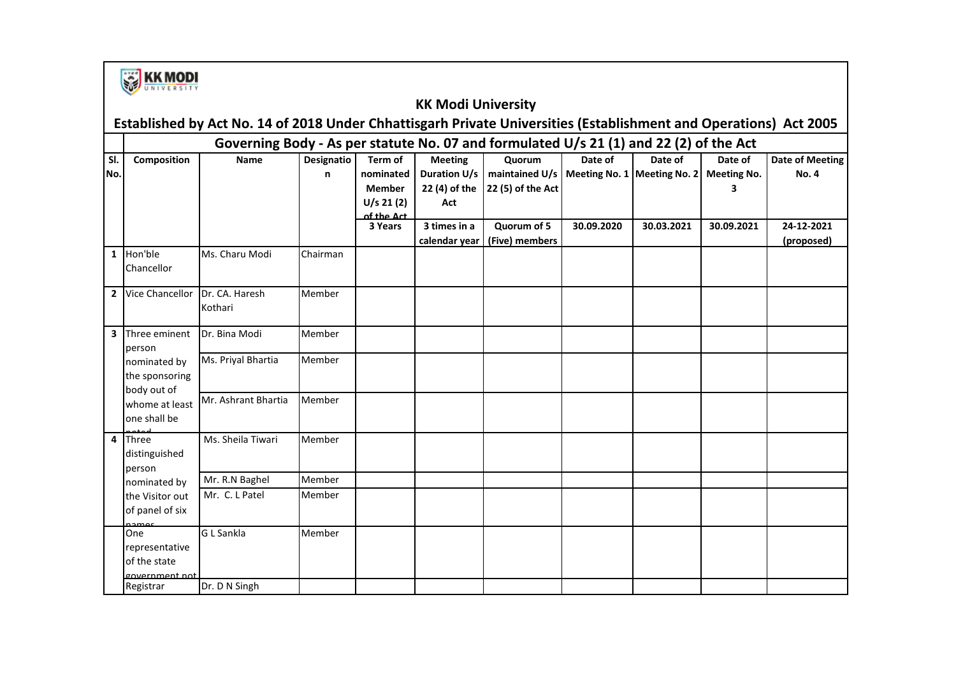

#### **KK Modi University**

# **Established by Act No. 14 of 2018 Under Chhattisgarh Private Universities (Establishment and Operations) Act 2005**

|     | Governing Body - As per statute No. 07 and formulated U/s 21 (1) and 22 (2) of the Act |                     |            |               |                     |                                                |            |            |                    |                        |
|-----|----------------------------------------------------------------------------------------|---------------------|------------|---------------|---------------------|------------------------------------------------|------------|------------|--------------------|------------------------|
| SI. | <b>Composition</b><br><b>Name</b>                                                      |                     | Designatio | Term of       | <b>Meeting</b>      | Quorum                                         | Date of    | Date of    | Date of            | <b>Date of Meeting</b> |
| No. |                                                                                        |                     | n          | nominated     | <b>Duration U/s</b> | maintained U/s   Meeting No. 1   Meeting No. 2 |            |            | <b>Meeting No.</b> | <b>No. 4</b>           |
|     |                                                                                        |                     |            | <b>Member</b> | 22 (4) of the       | 22 (5) of the Act                              |            |            | 3                  |                        |
|     |                                                                                        |                     |            | U/s 21(2)     | Act                 |                                                |            |            |                    |                        |
|     |                                                                                        |                     |            | of the Act    |                     |                                                |            |            |                    |                        |
|     |                                                                                        |                     |            | 3 Years       | 3 times in a        | Quorum of 5                                    | 30.09.2020 | 30.03.2021 | 30.09.2021         | 24-12-2021             |
|     |                                                                                        |                     |            |               | calendar year       | (Five) members                                 |            |            |                    | (proposed)             |
|     | 1 Hon'ble                                                                              | Ms. Charu Modi      | Chairman   |               |                     |                                                |            |            |                    |                        |
|     | Chancellor                                                                             |                     |            |               |                     |                                                |            |            |                    |                        |
|     |                                                                                        |                     |            |               |                     |                                                |            |            |                    |                        |
|     | 2 Vice Chancellor                                                                      | Dr. CA. Haresh      | Member     |               |                     |                                                |            |            |                    |                        |
|     |                                                                                        | Kothari             |            |               |                     |                                                |            |            |                    |                        |
|     |                                                                                        |                     |            |               |                     |                                                |            |            |                    |                        |
|     | 3 Three eminent                                                                        | Dr. Bina Modi       | Member     |               |                     |                                                |            |            |                    |                        |
|     | person                                                                                 |                     |            |               |                     |                                                |            |            |                    |                        |
|     | nominated by                                                                           | Ms. Priyal Bhartia  | Member     |               |                     |                                                |            |            |                    |                        |
|     | the sponsoring                                                                         |                     |            |               |                     |                                                |            |            |                    |                        |
|     | body out of                                                                            | Mr. Ashrant Bhartia | Member     |               |                     |                                                |            |            |                    |                        |
|     | whome at least                                                                         |                     |            |               |                     |                                                |            |            |                    |                        |
|     | one shall be                                                                           |                     |            |               |                     |                                                |            |            |                    |                        |
|     | 4 Three                                                                                | Ms. Sheila Tiwari   | Member     |               |                     |                                                |            |            |                    |                        |
|     | distinguished                                                                          |                     |            |               |                     |                                                |            |            |                    |                        |
|     | person                                                                                 |                     |            |               |                     |                                                |            |            |                    |                        |
|     | nominated by                                                                           | Mr. R.N Baghel      | Member     |               |                     |                                                |            |            |                    |                        |
|     | the Visitor out                                                                        | Mr. C. L Patel      | Member     |               |                     |                                                |            |            |                    |                        |
|     | of panel of six                                                                        |                     |            |               |                     |                                                |            |            |                    |                        |
|     | namac                                                                                  |                     |            |               |                     |                                                |            |            |                    |                        |
|     | One                                                                                    | G L Sankla          | Member     |               |                     |                                                |            |            |                    |                        |
|     | representative                                                                         |                     |            |               |                     |                                                |            |            |                    |                        |
|     | of the state                                                                           |                     |            |               |                     |                                                |            |            |                    |                        |
|     | government not                                                                         |                     |            |               |                     |                                                |            |            |                    |                        |
|     | Registrar                                                                              | Dr. D N Singh       |            |               |                     |                                                |            |            |                    |                        |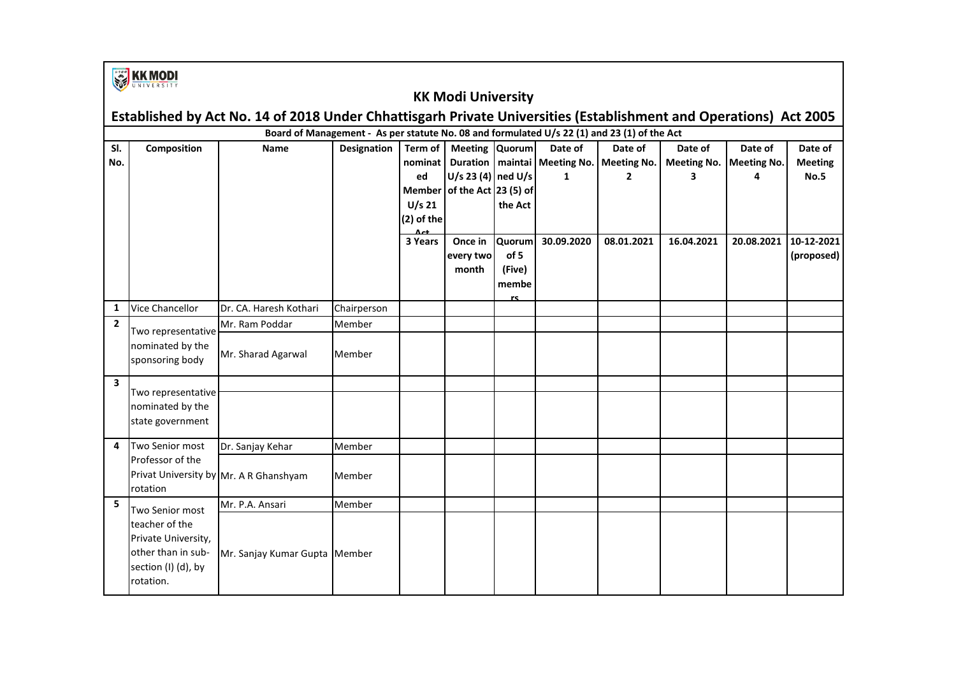|                         | <b>EXPLAINING THE STATE</b>                                                                                       |                                        |                    |                                                                                    |                                                               |                                          |                                                                |              |                                    |                                    |                                          |  |  |
|-------------------------|-------------------------------------------------------------------------------------------------------------------|----------------------------------------|--------------------|------------------------------------------------------------------------------------|---------------------------------------------------------------|------------------------------------------|----------------------------------------------------------------|--------------|------------------------------------|------------------------------------|------------------------------------------|--|--|
|                         | <b>KK Modi University</b>                                                                                         |                                        |                    |                                                                                    |                                                               |                                          |                                                                |              |                                    |                                    |                                          |  |  |
|                         | Established by Act No. 14 of 2018 Under Chhattisgarh Private Universities (Establishment and Operations) Act 2005 |                                        |                    |                                                                                    |                                                               |                                          |                                                                |              |                                    |                                    |                                          |  |  |
|                         | Board of Management - As per statute No. 08 and formulated U/s 22 (1) and 23 (1) of the Act                       |                                        |                    |                                                                                    |                                                               |                                          |                                                                |              |                                    |                                    |                                          |  |  |
| SI.<br>No.              | Composition                                                                                                       | <b>Name</b>                            | <b>Designation</b> | Term of<br>nominat<br>ed<br><b>Member</b><br>$U/s$ 21<br>(2) of the<br>$\Delta$ ct | Meeting Quorum<br>U/s 23 (4) ned U/s<br>of the Act $23(5)$ of | the Act                                  | Date of<br>Duration   maintai   Meeting No.   Meeting No.<br>1 | Date of<br>2 | Date of<br><b>Meeting No.</b><br>3 | Date of<br><b>Meeting No.</b><br>4 | Date of<br><b>Meeting</b><br><b>No.5</b> |  |  |
|                         |                                                                                                                   |                                        |                    | 3 Years                                                                            | Once in<br>every two<br>month                                 | Quorum<br>of 5<br>(Five)<br>membe<br>rc. | 30.09.2020                                                     | 08.01.2021   | 16.04.2021                         | 20.08.2021                         | 10-12-2021<br>(proposed)                 |  |  |
| $\mathbf{1}$            | <b>Vice Chancellor</b>                                                                                            | Dr. CA. Haresh Kothari                 | Chairperson        |                                                                                    |                                                               |                                          |                                                                |              |                                    |                                    |                                          |  |  |
| $\overline{2}$          | Two representative<br>nominated by the<br>sponsoring body                                                         | Mr. Ram Poddar                         | Member             |                                                                                    |                                                               |                                          |                                                                |              |                                    |                                    |                                          |  |  |
|                         |                                                                                                                   | Mr. Sharad Agarwal                     | Member             |                                                                                    |                                                               |                                          |                                                                |              |                                    |                                    |                                          |  |  |
| $\overline{\mathbf{3}}$ |                                                                                                                   |                                        |                    |                                                                                    |                                                               |                                          |                                                                |              |                                    |                                    |                                          |  |  |
|                         | Two representative<br>nominated by the<br>state government                                                        |                                        |                    |                                                                                    |                                                               |                                          |                                                                |              |                                    |                                    |                                          |  |  |
| 4                       | Two Senior most                                                                                                   | Dr. Sanjay Kehar                       | Member             |                                                                                    |                                                               |                                          |                                                                |              |                                    |                                    |                                          |  |  |
|                         | Professor of the<br>rotation                                                                                      | Privat University by Mr. A R Ghanshyam | Member             |                                                                                    |                                                               |                                          |                                                                |              |                                    |                                    |                                          |  |  |
| 5                       | Two Senior most                                                                                                   | Mr. P.A. Ansari                        | Member             |                                                                                    |                                                               |                                          |                                                                |              |                                    |                                    |                                          |  |  |
|                         | teacher of the<br>Private University,<br>other than in sub-<br>section (I) (d), by<br>rotation.                   | Mr. Sanjay Kumar Gupta Member          |                    |                                                                                    |                                                               |                                          |                                                                |              |                                    |                                    |                                          |  |  |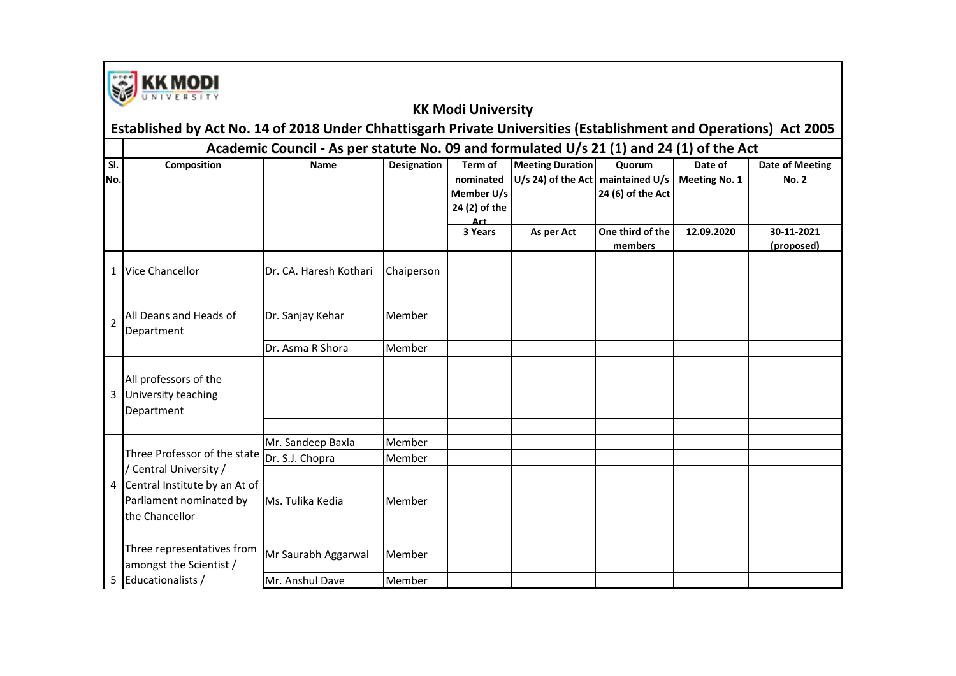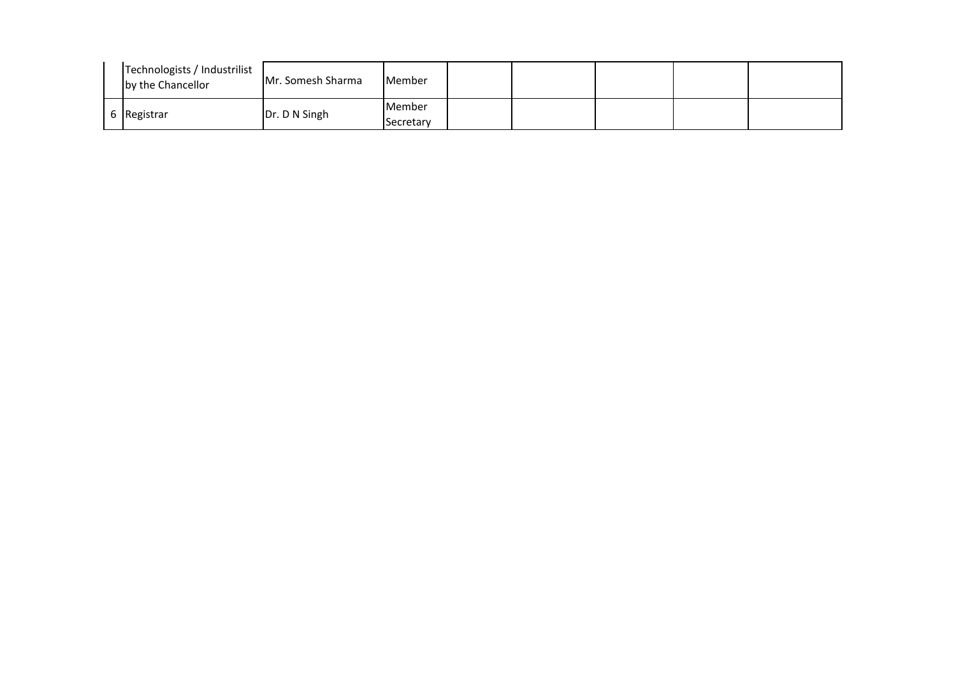| Technologists / Industrilist<br>by the Chancellor | Mr. Somesh Sharma | <b>Member</b> |  |  |  |
|---------------------------------------------------|-------------------|---------------|--|--|--|
| 6 Registrar                                       | Dr. D N Singh     | Member        |  |  |  |
|                                                   |                   | Secretary     |  |  |  |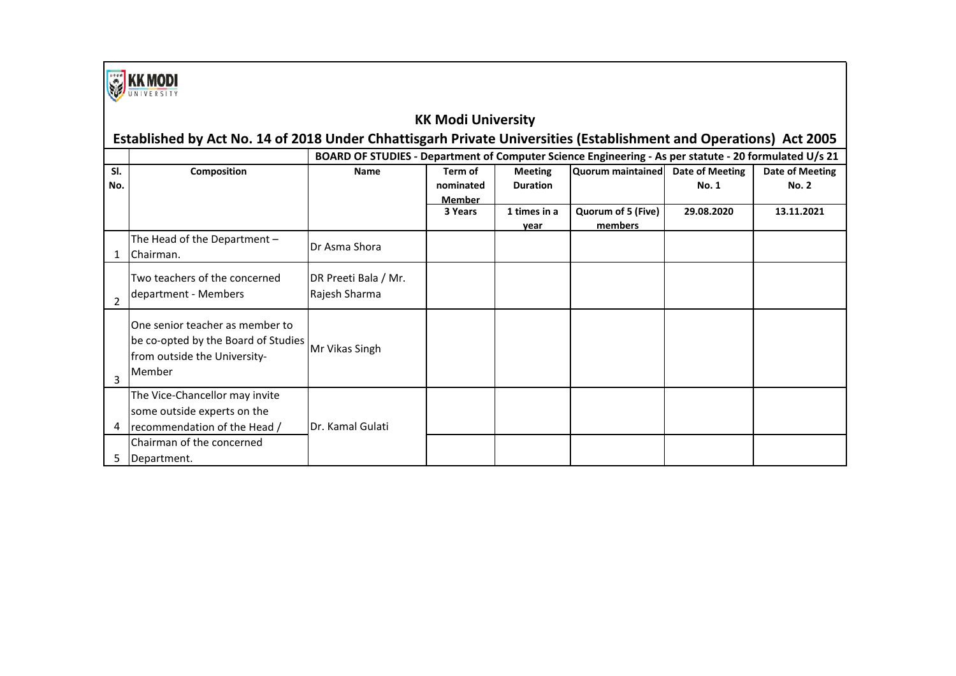

#### **KK Modi University**

|            | Established by Act No. 14 of 2018 Under Chhattisgarh Private Universities (Establishment and Operations) Act 2005 |                                                                                                       |                                       |                                   |                               |                                 |                                 |  |  |  |
|------------|-------------------------------------------------------------------------------------------------------------------|-------------------------------------------------------------------------------------------------------|---------------------------------------|-----------------------------------|-------------------------------|---------------------------------|---------------------------------|--|--|--|
|            |                                                                                                                   | BOARD OF STUDIES - Department of Computer Science Engineering - As per statute - 20 formulated U/s 21 |                                       |                                   |                               |                                 |                                 |  |  |  |
| SI.<br>No. | Composition                                                                                                       | <b>Name</b>                                                                                           | Term of<br>nominated<br><b>Member</b> | <b>Meeting</b><br><b>Duration</b> | Quorum maintained             | Date of Meeting<br><b>No. 1</b> | Date of Meeting<br><b>No. 2</b> |  |  |  |
|            |                                                                                                                   |                                                                                                       | 3 Years                               | 1 times in a<br>vear              | Quorum of 5 (Five)<br>members | 29.08.2020                      | 13.11.2021                      |  |  |  |
|            | The Head of the Department $-$<br>Chairman.                                                                       | Dr Asma Shora                                                                                         |                                       |                                   |                               |                                 |                                 |  |  |  |
|            | Two teachers of the concerned<br>department - Members                                                             | DR Preeti Bala / Mr.<br>Rajesh Sharma                                                                 |                                       |                                   |                               |                                 |                                 |  |  |  |
| 3          | One senior teacher as member to<br>be co-opted by the Board of Studies<br>from outside the University-<br>Member  | Mr Vikas Singh                                                                                        |                                       |                                   |                               |                                 |                                 |  |  |  |
| 4          | The Vice-Chancellor may invite<br>some outside experts on the<br>recommendation of the Head /                     | Dr. Kamal Gulati                                                                                      |                                       |                                   |                               |                                 |                                 |  |  |  |
|            | Chairman of the concerned<br>Department.                                                                          |                                                                                                       |                                       |                                   |                               |                                 |                                 |  |  |  |